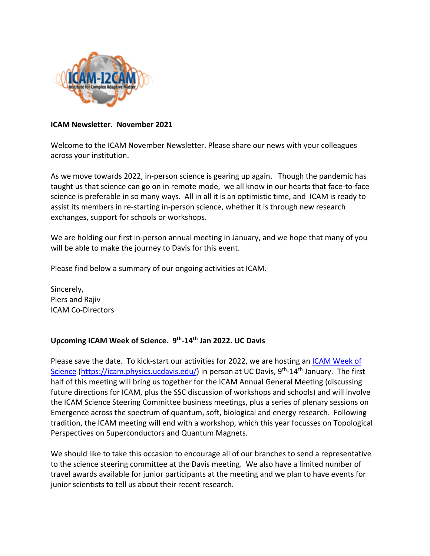

#### **ICAM Newsletter. November 2021**

Welcome to the ICAM November Newsletter. Please share our news with your colleagues across your institution.

As we move towards 2022, in-person science is gearing up again. Though the pandemic has taught us that science can go on in remote mode, we all know in our hearts that face-to-face science is preferable in so many ways. All in all it is an optimistic time, and ICAM is ready to assist its members in re-starting in-person science, whether it is through new research exchanges, support for schools or workshops.

We are holding our first in-person annual meeting in January, and we hope that many of you will be able to make the journey to Davis for this event.

Please find below a summary of our ongoing activities at ICAM.

Sincerely, Piers and Rajiv ICAM Co-Directors

### **Upcoming ICAM Week of Science. 9th-14th Jan 2022. UC Davis**

Please save the date. To kick-start our activities for 2022, we are hosting an ICAM Week of Science (https://icam.physics.ucdavis.edu/) in person at UC Davis, 9<sup>th</sup>-14<sup>th</sup> January. The first half of this meeting will bring us together for the ICAM Annual General Meeting (discussing future directions for ICAM, plus the SSC discussion of workshops and schools) and will involve the ICAM Science Steering Committee business meetings, plus a series of plenary sessions on Emergence across the spectrum of quantum, soft, biological and energy research. Following tradition, the ICAM meeting will end with a workshop, which this year focusses on Topological Perspectives on Superconductors and Quantum Magnets.

We should like to take this occasion to encourage all of our branches to send a representative to the science steering committee at the Davis meeting. We also have a limited number of travel awards available for junior participants at the meeting and we plan to have events for junior scientists to tell us about their recent research.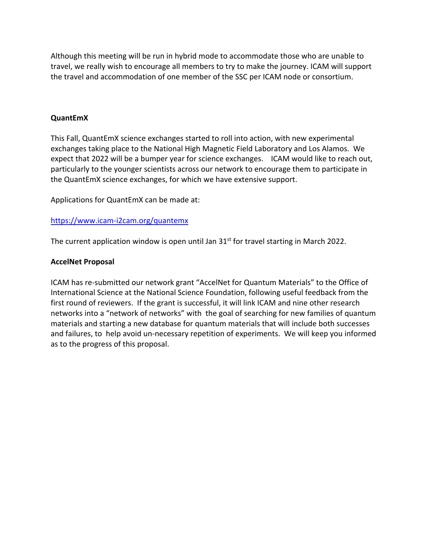Although this meeting will be run in hybrid mode to accommodate those who are unable to travel, we really wish to encourage all members to try to make the journey. ICAM will support the travel and accommodation of one member of the SSC per ICAM node or consortium.

### **QuantEmX**

This Fall, QuantEmX science exchanges started to roll into action, with new experimental exchanges taking place to the National High Magnetic Field Laboratory and Los Alamos. We expect that 2022 will be a bumper year for science exchanges. ICAM would like to reach out, particularly to the younger scientists across our network to encourage them to participate in the QuantEmX science exchanges, for which we have extensive support.

Applications for QuantEmX can be made at:

# https://www.icam-i2cam.org/quantemx

The current application window is open until Jan  $31<sup>st</sup>$  for travel starting in March 2022.

### **AccelNet Proposal**

ICAM has re-submitted our network grant "AccelNet for Quantum Materials" to the Office of International Science at the National Science Foundation, following useful feedback from the first round of reviewers. If the grant is successful, it will link ICAM and nine other research networks into a "network of networks" with the goal of searching for new families of quantum materials and starting a new database for quantum materials that will include both successes and failures, to help avoid un-necessary repetition of experiments. We will keep you informed as to the progress of this proposal.